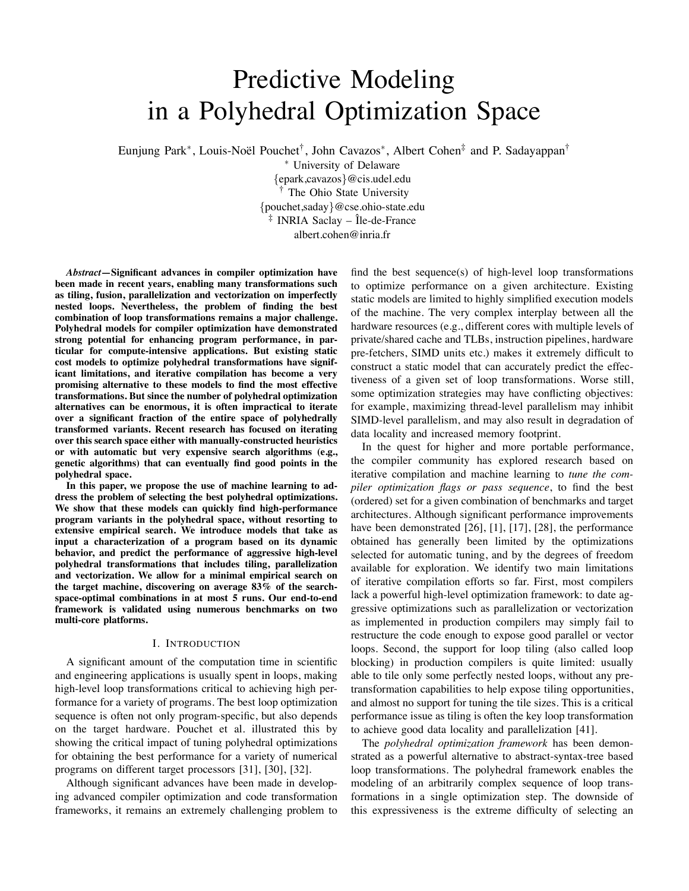# Predictive Modeling in a Polyhedral Optimization Space

Eunjung Park<sup>∗</sup>, Louis-Noël Pouchet<sup>†</sup>, John Cavazos<sup>∗</sup>, Albert Cohen<sup>‡</sup> and P. Sadayappan<sup>†</sup>

<sup>∗</sup> University of Delaware {epark,cavazos}@cis.udel.edu † The Ohio State University {pouchet,saday}@cse.ohio-state.edu  $\frac{1}{x}$  INRIA Saclay – Île-de-France albert.cohen@inria.fr

*Abstract***—Significant advances in compiler optimization have been made in recent years, enabling many transformations such as tiling, fusion, parallelization and vectorization on imperfectly nested loops. Nevertheless, the problem of finding the best combination of loop transformations remains a major challenge. Polyhedral models for compiler optimization have demonstrated strong potential for enhancing program performance, in particular for compute-intensive applications. But existing static cost models to optimize polyhedral transformations have significant limitations, and iterative compilation has become a very promising alternative to these models to find the most effective transformations. But since the number of polyhedral optimization alternatives can be enormous, it is often impractical to iterate over a significant fraction of the entire space of polyhedrally transformed variants. Recent research has focused on iterating over this search space either with manually-constructed heuristics or with automatic but very expensive search algorithms (e.g., genetic algorithms) that can eventually find good points in the polyhedral space.**

**In this paper, we propose the use of machine learning to address the problem of selecting the best polyhedral optimizations. We show that these models can quickly find high-performance program variants in the polyhedral space, without resorting to extensive empirical search. We introduce models that take as input a characterization of a program based on its dynamic behavior, and predict the performance of aggressive high-level polyhedral transformations that includes tiling, parallelization and vectorization. We allow for a minimal empirical search on the target machine, discovering on average 83% of the searchspace-optimal combinations in at most 5 runs. Our end-to-end framework is validated using numerous benchmarks on two multi-core platforms.**

# I. INTRODUCTION

A significant amount of the computation time in scientific and engineering applications is usually spent in loops, making high-level loop transformations critical to achieving high performance for a variety of programs. The best loop optimization sequence is often not only program-specific, but also depends on the target hardware. Pouchet et al. illustrated this by showing the critical impact of tuning polyhedral optimizations for obtaining the best performance for a variety of numerical programs on different target processors [31], [30], [32].

Although significant advances have been made in developing advanced compiler optimization and code transformation frameworks, it remains an extremely challenging problem to

find the best sequence(s) of high-level loop transformations to optimize performance on a given architecture. Existing static models are limited to highly simplified execution models of the machine. The very complex interplay between all the hardware resources (e.g., different cores with multiple levels of private/shared cache and TLBs, instruction pipelines, hardware pre-fetchers, SIMD units etc.) makes it extremely difficult to construct a static model that can accurately predict the effectiveness of a given set of loop transformations. Worse still, some optimization strategies may have conflicting objectives: for example, maximizing thread-level parallelism may inhibit SIMD-level parallelism, and may also result in degradation of data locality and increased memory footprint.

In the quest for higher and more portable performance, the compiler community has explored research based on iterative compilation and machine learning to *tune the compiler optimization flags or pass sequence*, to find the best (ordered) set for a given combination of benchmarks and target architectures. Although significant performance improvements have been demonstrated [26], [1], [17], [28], the performance obtained has generally been limited by the optimizations selected for automatic tuning, and by the degrees of freedom available for exploration. We identify two main limitations of iterative compilation efforts so far. First, most compilers lack a powerful high-level optimization framework: to date aggressive optimizations such as parallelization or vectorization as implemented in production compilers may simply fail to restructure the code enough to expose good parallel or vector loops. Second, the support for loop tiling (also called loop blocking) in production compilers is quite limited: usually able to tile only some perfectly nested loops, without any pretransformation capabilities to help expose tiling opportunities, and almost no support for tuning the tile sizes. This is a critical performance issue as tiling is often the key loop transformation to achieve good data locality and parallelization [41].

The *polyhedral optimization framework* has been demonstrated as a powerful alternative to abstract-syntax-tree based loop transformations. The polyhedral framework enables the modeling of an arbitrarily complex sequence of loop transformations in a single optimization step. The downside of this expressiveness is the extreme difficulty of selecting an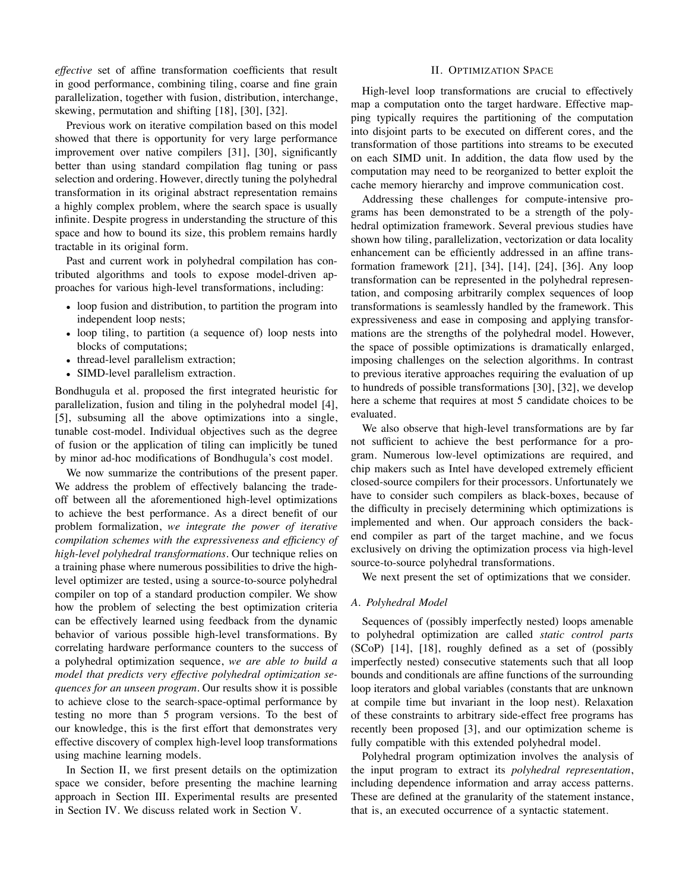*effective* set of affine transformation coefficients that result in good performance, combining tiling, coarse and fine grain parallelization, together with fusion, distribution, interchange, skewing, permutation and shifting [18], [30], [32].

Previous work on iterative compilation based on this model showed that there is opportunity for very large performance improvement over native compilers [31], [30], significantly better than using standard compilation flag tuning or pass selection and ordering. However, directly tuning the polyhedral transformation in its original abstract representation remains a highly complex problem, where the search space is usually infinite. Despite progress in understanding the structure of this space and how to bound its size, this problem remains hardly tractable in its original form.

Past and current work in polyhedral compilation has contributed algorithms and tools to expose model-driven approaches for various high-level transformations, including:

- loop fusion and distribution, to partition the program into independent loop nests;
- loop tiling, to partition (a sequence of) loop nests into blocks of computations;
- thread-level parallelism extraction;
- SIMD-level parallelism extraction.

Bondhugula et al. proposed the first integrated heuristic for parallelization, fusion and tiling in the polyhedral model [4], [5], subsuming all the above optimizations into a single, tunable cost-model. Individual objectives such as the degree of fusion or the application of tiling can implicitly be tuned by minor ad-hoc modifications of Bondhugula's cost model.

We now summarize the contributions of the present paper. We address the problem of effectively balancing the tradeoff between all the aforementioned high-level optimizations to achieve the best performance. As a direct benefit of our problem formalization, *we integrate the power of iterative compilation schemes with the expressiveness and efficiency of high-level polyhedral transformations*. Our technique relies on a training phase where numerous possibilities to drive the highlevel optimizer are tested, using a source-to-source polyhedral compiler on top of a standard production compiler. We show how the problem of selecting the best optimization criteria can be effectively learned using feedback from the dynamic behavior of various possible high-level transformations. By correlating hardware performance counters to the success of a polyhedral optimization sequence, *we are able to build a model that predicts very effective polyhedral optimization sequences for an unseen program*. Our results show it is possible to achieve close to the search-space-optimal performance by testing no more than 5 program versions. To the best of our knowledge, this is the first effort that demonstrates very effective discovery of complex high-level loop transformations using machine learning models.

In Section II, we first present details on the optimization space we consider, before presenting the machine learning approach in Section III. Experimental results are presented in Section IV. We discuss related work in Section V.

#### II. OPTIMIZATION SPACE

High-level loop transformations are crucial to effectively map a computation onto the target hardware. Effective mapping typically requires the partitioning of the computation into disjoint parts to be executed on different cores, and the transformation of those partitions into streams to be executed on each SIMD unit. In addition, the data flow used by the computation may need to be reorganized to better exploit the cache memory hierarchy and improve communication cost.

Addressing these challenges for compute-intensive programs has been demonstrated to be a strength of the polyhedral optimization framework. Several previous studies have shown how tiling, parallelization, vectorization or data locality enhancement can be efficiently addressed in an affine transformation framework [21], [34], [14], [24], [36]. Any loop transformation can be represented in the polyhedral representation, and composing arbitrarily complex sequences of loop transformations is seamlessly handled by the framework. This expressiveness and ease in composing and applying transformations are the strengths of the polyhedral model. However, the space of possible optimizations is dramatically enlarged, imposing challenges on the selection algorithms. In contrast to previous iterative approaches requiring the evaluation of up to hundreds of possible transformations [30], [32], we develop here a scheme that requires at most 5 candidate choices to be evaluated.

We also observe that high-level transformations are by far not sufficient to achieve the best performance for a program. Numerous low-level optimizations are required, and chip makers such as Intel have developed extremely efficient closed-source compilers for their processors. Unfortunately we have to consider such compilers as black-boxes, because of the difficulty in precisely determining which optimizations is implemented and when. Our approach considers the backend compiler as part of the target machine, and we focus exclusively on driving the optimization process via high-level source-to-source polyhedral transformations.

We next present the set of optimizations that we consider.

#### *A. Polyhedral Model*

Sequences of (possibly imperfectly nested) loops amenable to polyhedral optimization are called *static control parts* (SCoP) [14], [18], roughly defined as a set of (possibly imperfectly nested) consecutive statements such that all loop bounds and conditionals are affine functions of the surrounding loop iterators and global variables (constants that are unknown at compile time but invariant in the loop nest). Relaxation of these constraints to arbitrary side-effect free programs has recently been proposed [3], and our optimization scheme is fully compatible with this extended polyhedral model.

Polyhedral program optimization involves the analysis of the input program to extract its *polyhedral representation*, including dependence information and array access patterns. These are defined at the granularity of the statement instance, that is, an executed occurrence of a syntactic statement.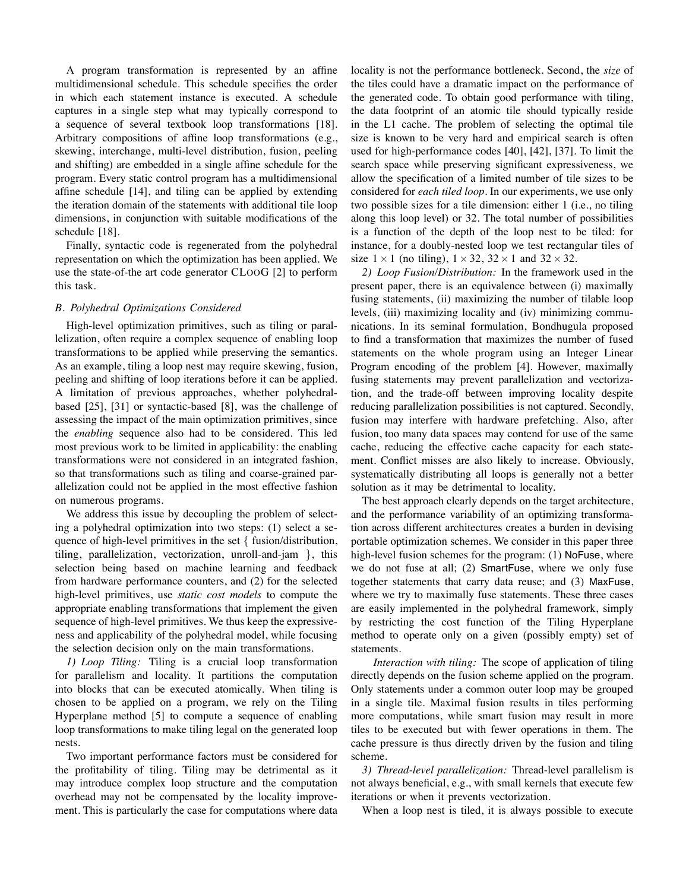A program transformation is represented by an affine multidimensional schedule. This schedule specifies the order in which each statement instance is executed. A schedule captures in a single step what may typically correspond to a sequence of several textbook loop transformations [18]. Arbitrary compositions of affine loop transformations (e.g., skewing, interchange, multi-level distribution, fusion, peeling and shifting) are embedded in a single affine schedule for the program. Every static control program has a multidimensional affine schedule [14], and tiling can be applied by extending the iteration domain of the statements with additional tile loop dimensions, in conjunction with suitable modifications of the schedule [18].

Finally, syntactic code is regenerated from the polyhedral representation on which the optimization has been applied. We use the state-of-the art code generator CLOOG [2] to perform this task.

# *B. Polyhedral Optimizations Considered*

High-level optimization primitives, such as tiling or parallelization, often require a complex sequence of enabling loop transformations to be applied while preserving the semantics. As an example, tiling a loop nest may require skewing, fusion, peeling and shifting of loop iterations before it can be applied. A limitation of previous approaches, whether polyhedralbased [25], [31] or syntactic-based [8], was the challenge of assessing the impact of the main optimization primitives, since the *enabling* sequence also had to be considered. This led most previous work to be limited in applicability: the enabling transformations were not considered in an integrated fashion, so that transformations such as tiling and coarse-grained parallelization could not be applied in the most effective fashion on numerous programs.

We address this issue by decoupling the problem of selecting a polyhedral optimization into two steps: (1) select a sequence of high-level primitives in the set { fusion/distribution, tiling, parallelization, vectorization, unroll-and-jam }, this selection being based on machine learning and feedback from hardware performance counters, and (2) for the selected high-level primitives, use *static cost models* to compute the appropriate enabling transformations that implement the given sequence of high-level primitives. We thus keep the expressiveness and applicability of the polyhedral model, while focusing the selection decision only on the main transformations.

*1) Loop Tiling:* Tiling is a crucial loop transformation for parallelism and locality. It partitions the computation into blocks that can be executed atomically. When tiling is chosen to be applied on a program, we rely on the Tiling Hyperplane method [5] to compute a sequence of enabling loop transformations to make tiling legal on the generated loop nests.

Two important performance factors must be considered for the profitability of tiling. Tiling may be detrimental as it may introduce complex loop structure and the computation overhead may not be compensated by the locality improvement. This is particularly the case for computations where data locality is not the performance bottleneck. Second, the *size* of the tiles could have a dramatic impact on the performance of the generated code. To obtain good performance with tiling, the data footprint of an atomic tile should typically reside in the L1 cache. The problem of selecting the optimal tile size is known to be very hard and empirical search is often used for high-performance codes [40], [42], [37]. To limit the search space while preserving significant expressiveness, we allow the specification of a limited number of tile sizes to be considered for *each tiled loop*. In our experiments, we use only two possible sizes for a tile dimension: either 1 (i.e., no tiling along this loop level) or 32. The total number of possibilities is a function of the depth of the loop nest to be tiled: for instance, for a doubly-nested loop we test rectangular tiles of size  $1 \times 1$  (no tiling),  $1 \times 32$ ,  $32 \times 1$  and  $32 \times 32$ .

*2) Loop Fusion/Distribution:* In the framework used in the present paper, there is an equivalence between (i) maximally fusing statements, (ii) maximizing the number of tilable loop levels, (iii) maximizing locality and (iv) minimizing communications. In its seminal formulation, Bondhugula proposed to find a transformation that maximizes the number of fused statements on the whole program using an Integer Linear Program encoding of the problem [4]. However, maximally fusing statements may prevent parallelization and vectorization, and the trade-off between improving locality despite reducing parallelization possibilities is not captured. Secondly, fusion may interfere with hardware prefetching. Also, after fusion, too many data spaces may contend for use of the same cache, reducing the effective cache capacity for each statement. Conflict misses are also likely to increase. Obviously, systematically distributing all loops is generally not a better solution as it may be detrimental to locality.

The best approach clearly depends on the target architecture, and the performance variability of an optimizing transformation across different architectures creates a burden in devising portable optimization schemes. We consider in this paper three high-level fusion schemes for the program: (1) NoFuse, where we do not fuse at all; (2) SmartFuse, where we only fuse together statements that carry data reuse; and (3) MaxFuse, where we try to maximally fuse statements. These three cases are easily implemented in the polyhedral framework, simply by restricting the cost function of the Tiling Hyperplane method to operate only on a given (possibly empty) set of statements.

*Interaction with tiling:* The scope of application of tiling directly depends on the fusion scheme applied on the program. Only statements under a common outer loop may be grouped in a single tile. Maximal fusion results in tiles performing more computations, while smart fusion may result in more tiles to be executed but with fewer operations in them. The cache pressure is thus directly driven by the fusion and tiling scheme.

*3) Thread-level parallelization:* Thread-level parallelism is not always beneficial, e.g., with small kernels that execute few iterations or when it prevents vectorization.

When a loop nest is tiled, it is always possible to execute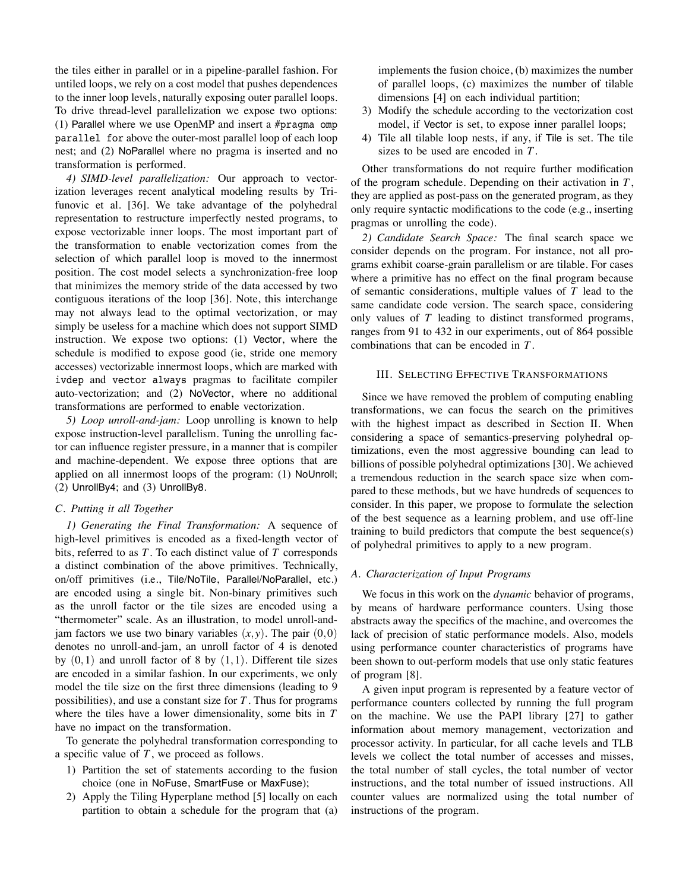the tiles either in parallel or in a pipeline-parallel fashion. For untiled loops, we rely on a cost model that pushes dependences to the inner loop levels, naturally exposing outer parallel loops. To drive thread-level parallelization we expose two options: (1) Parallel where we use OpenMP and insert a #pragma omp parallel for above the outer-most parallel loop of each loop nest; and (2) NoParallel where no pragma is inserted and no transformation is performed.

*4) SIMD-level parallelization:* Our approach to vectorization leverages recent analytical modeling results by Trifunovic et al. [36]. We take advantage of the polyhedral representation to restructure imperfectly nested programs, to expose vectorizable inner loops. The most important part of the transformation to enable vectorization comes from the selection of which parallel loop is moved to the innermost position. The cost model selects a synchronization-free loop that minimizes the memory stride of the data accessed by two contiguous iterations of the loop [36]. Note, this interchange may not always lead to the optimal vectorization, or may simply be useless for a machine which does not support SIMD instruction. We expose two options: (1) Vector, where the schedule is modified to expose good (ie, stride one memory accesses) vectorizable innermost loops, which are marked with ivdep and vector always pragmas to facilitate compiler auto-vectorization; and (2) NoVector, where no additional transformations are performed to enable vectorization.

*5) Loop unroll-and-jam:* Loop unrolling is known to help expose instruction-level parallelism. Tuning the unrolling factor can influence register pressure, in a manner that is compiler and machine-dependent. We expose three options that are applied on all innermost loops of the program: (1) NoUnroll; (2) UnrollBy4; and (3) UnrollBy8.

# *C. Putting it all Together*

*1) Generating the Final Transformation:* A sequence of high-level primitives is encoded as a fixed-length vector of bits, referred to as *T*. To each distinct value of *T* corresponds a distinct combination of the above primitives. Technically, on/off primitives (i.e., Tile/NoTile, Parallel/NoParallel, etc.) are encoded using a single bit. Non-binary primitives such as the unroll factor or the tile sizes are encoded using a "thermometer" scale. As an illustration, to model unroll-andjam factors we use two binary variables  $(x, y)$ . The pair  $(0, 0)$ denotes no unroll-and-jam, an unroll factor of 4 is denoted by  $(0,1)$  and unroll factor of 8 by  $(1,1)$ . Different tile sizes are encoded in a similar fashion. In our experiments, we only model the tile size on the first three dimensions (leading to 9 possibilities), and use a constant size for *T*. Thus for programs where the tiles have a lower dimensionality, some bits in *T* have no impact on the transformation.

To generate the polyhedral transformation corresponding to a specific value of *T*, we proceed as follows.

- 1) Partition the set of statements according to the fusion choice (one in NoFuse, SmartFuse or MaxFuse);
- 2) Apply the Tiling Hyperplane method [5] locally on each partition to obtain a schedule for the program that (a)

implements the fusion choice, (b) maximizes the number of parallel loops, (c) maximizes the number of tilable dimensions [4] on each individual partition;

- 3) Modify the schedule according to the vectorization cost model, if Vector is set, to expose inner parallel loops;
- 4) Tile all tilable loop nests, if any, if Tile is set. The tile sizes to be used are encoded in *T*.

Other transformations do not require further modification of the program schedule. Depending on their activation in *T*, they are applied as post-pass on the generated program, as they only require syntactic modifications to the code (e.g., inserting pragmas or unrolling the code).

*2) Candidate Search Space:* The final search space we consider depends on the program. For instance, not all programs exhibit coarse-grain parallelism or are tilable. For cases where a primitive has no effect on the final program because of semantic considerations, multiple values of *T* lead to the same candidate code version. The search space, considering only values of *T* leading to distinct transformed programs, ranges from 91 to 432 in our experiments, out of 864 possible combinations that can be encoded in *T*.

# III. SELECTING EFFECTIVE TRANSFORMATIONS

Since we have removed the problem of computing enabling transformations, we can focus the search on the primitives with the highest impact as described in Section II. When considering a space of semantics-preserving polyhedral optimizations, even the most aggressive bounding can lead to billions of possible polyhedral optimizations [30]. We achieved a tremendous reduction in the search space size when compared to these methods, but we have hundreds of sequences to consider. In this paper, we propose to formulate the selection of the best sequence as a learning problem, and use off-line training to build predictors that compute the best sequence(s) of polyhedral primitives to apply to a new program.

## *A. Characterization of Input Programs*

We focus in this work on the *dynamic* behavior of programs, by means of hardware performance counters. Using those abstracts away the specifics of the machine, and overcomes the lack of precision of static performance models. Also, models using performance counter characteristics of programs have been shown to out-perform models that use only static features of program [8].

A given input program is represented by a feature vector of performance counters collected by running the full program on the machine. We use the PAPI library [27] to gather information about memory management, vectorization and processor activity. In particular, for all cache levels and TLB levels we collect the total number of accesses and misses, the total number of stall cycles, the total number of vector instructions, and the total number of issued instructions. All counter values are normalized using the total number of instructions of the program.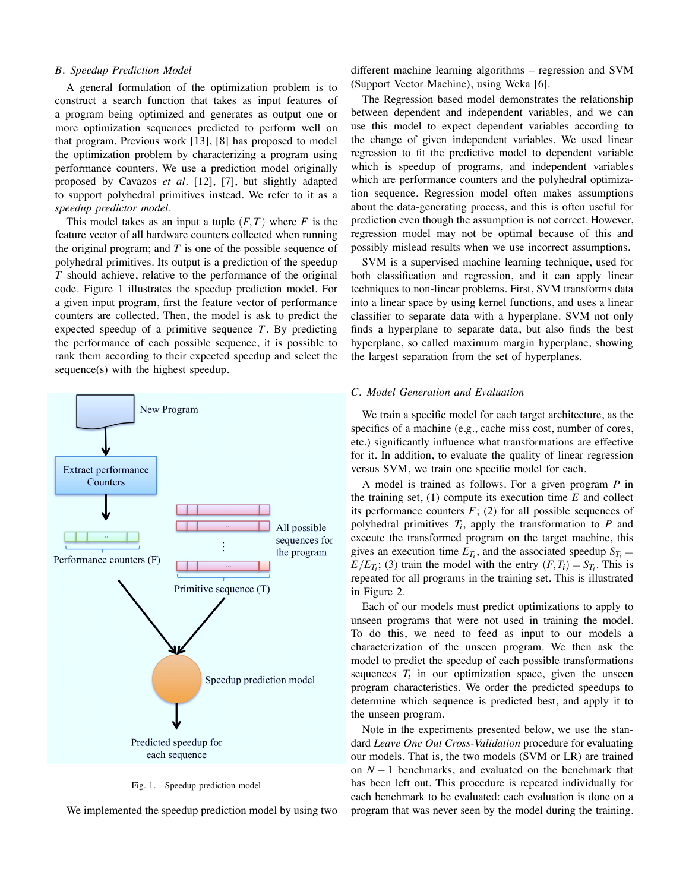### *B. Speedup Prediction Model*

A general formulation of the optimization problem is to construct a search function that takes as input features of a program being optimized and generates as output one or more optimization sequences predicted to perform well on that program. Previous work [13], [8] has proposed to model the optimization problem by characterizing a program using performance counters. We use a prediction model originally proposed by Cavazos *et al.* [12], [7], but slightly adapted to support polyhedral primitives instead. We refer to it as a *speedup predictor model*.

This model takes as an input a tuple  $(F, T)$  where  $F$  is the feature vector of all hardware counters collected when running the original program; and *T* is one of the possible sequence of polyhedral primitives. Its output is a prediction of the speedup *T* should achieve, relative to the performance of the original code. Figure 1 illustrates the speedup prediction model. For a given input program, first the feature vector of performance counters are collected. Then, the model is ask to predict the expected speedup of a primitive sequence *T*. By predicting the performance of each possible sequence, it is possible to rank them according to their expected speedup and select the sequence(s) with the highest speedup.



Fig. 1. Speedup prediction model

We implemented the speedup prediction model by using two

different machine learning algorithms – regression and SVM (Support Vector Machine), using Weka [6].

The Regression based model demonstrates the relationship between dependent and independent variables, and we can use this model to expect dependent variables according to the change of given independent variables. We used linear regression to fit the predictive model to dependent variable which is speedup of programs, and independent variables which are performance counters and the polyhedral optimization sequence. Regression model often makes assumptions about the data-generating process, and this is often useful for prediction even though the assumption is not correct. However, regression model may not be optimal because of this and possibly mislead results when we use incorrect assumptions.

SVM is a supervised machine learning technique, used for both classification and regression, and it can apply linear techniques to non-linear problems. First, SVM transforms data into a linear space by using kernel functions, and uses a linear classifier to separate data with a hyperplane. SVM not only finds a hyperplane to separate data, but also finds the best hyperplane, so called maximum margin hyperplane, showing the largest separation from the set of hyperplanes.

## *C. Model Generation and Evaluation*

We train a specific model for each target architecture, as the specifics of a machine (e.g., cache miss cost, number of cores, etc.) significantly influence what transformations are effective for it. In addition, to evaluate the quality of linear regression versus SVM, we train one specific model for each.

A model is trained as follows. For a given program *P* in the training set, (1) compute its execution time *E* and collect its performance counters  $F$ ; (2) for all possible sequences of polyhedral primitives  $T_i$ , apply the transformation to  $P$  and execute the transformed program on the target machine, this gives an execution time  $E_{T_i}$ , and the associated speedup  $S_{T_i}$  =  $E/E_{T_i}$ ; (3) train the model with the entry  $(F,T_i) = S_{T_i}$ . This is repeated for all programs in the training set. This is illustrated in Figure 2.

Each of our models must predict optimizations to apply to unseen programs that were not used in training the model. To do this, we need to feed as input to our models a characterization of the unseen program. We then ask the model to predict the speedup of each possible transformations sequences  $T_i$  in our optimization space, given the unseen program characteristics. We order the predicted speedups to determine which sequence is predicted best, and apply it to the unseen program.

Note in the experiments presented below, we use the standard *Leave One Out Cross-Validation* procedure for evaluating our models. That is, the two models (SVM or LR) are trained on *N* − 1 benchmarks, and evaluated on the benchmark that has been left out. This procedure is repeated individually for each benchmark to be evaluated: each evaluation is done on a program that was never seen by the model during the training.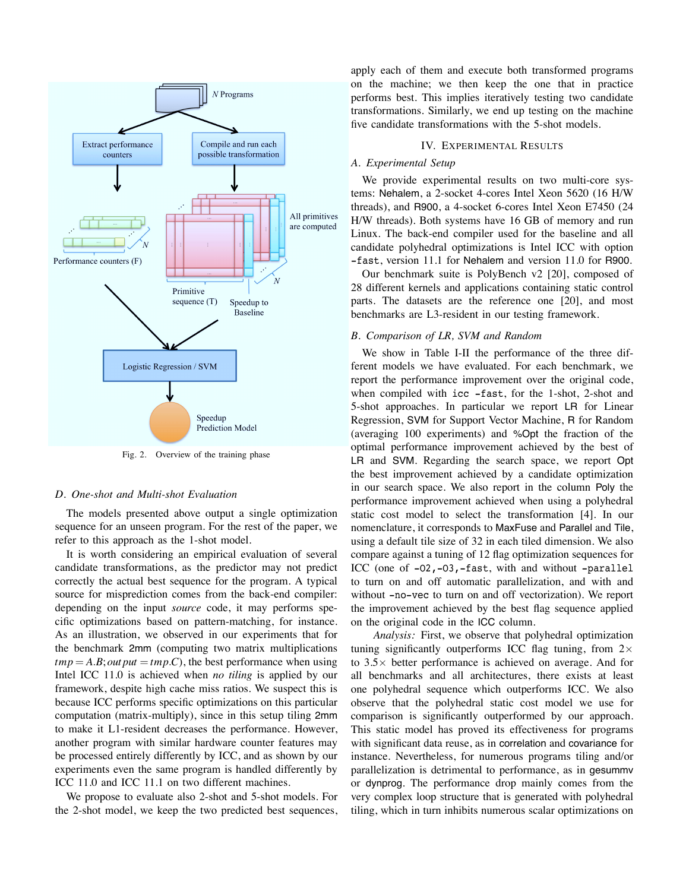

Fig. 2. Overview of the training phase

#### *D. One-shot and Multi-shot Evaluation*

The models presented above output a single optimization sequence for an unseen program. For the rest of the paper, we refer to this approach as the 1-shot model.

It is worth considering an empirical evaluation of several candidate transformations, as the predictor may not predict correctly the actual best sequence for the program. A typical source for misprediction comes from the back-end compiler: depending on the input *source* code, it may performs specific optimizations based on pattern-matching, for instance. As an illustration, we observed in our experiments that for the benchmark 2mm (computing two matrix multiplications  $tmp = A.B$ ; *out put* =  $tmp.C)$ , the best performance when using Intel ICC 11.0 is achieved when *no tiling* is applied by our framework, despite high cache miss ratios. We suspect this is because ICC performs specific optimizations on this particular computation (matrix-multiply), since in this setup tiling 2mm to make it L1-resident decreases the performance. However, another program with similar hardware counter features may be processed entirely differently by ICC, and as shown by our experiments even the same program is handled differently by ICC 11.0 and ICC 11.1 on two different machines.

We propose to evaluate also 2-shot and 5-shot models. For the 2-shot model, we keep the two predicted best sequences, apply each of them and execute both transformed programs on the machine; we then keep the one that in practice performs best. This implies iteratively testing two candidate transformations. Similarly, we end up testing on the machine five candidate transformations with the 5-shot models.

## IV. EXPERIMENTAL RESULTS

#### *A. Experimental Setup*

We provide experimental results on two multi-core systems: Nehalem, a 2-socket 4-cores Intel Xeon 5620 (16 H/W threads), and R900, a 4-socket 6-cores Intel Xeon E7450 (24 H/W threads). Both systems have 16 GB of memory and run Linux. The back-end compiler used for the baseline and all candidate polyhedral optimizations is Intel ICC with option -fast, version 11.1 for Nehalem and version 11.0 for R900.

Our benchmark suite is PolyBench v2 [20], composed of 28 different kernels and applications containing static control parts. The datasets are the reference one [20], and most benchmarks are L3-resident in our testing framework.

# *B. Comparison of LR, SVM and Random*

We show in Table I-II the performance of the three different models we have evaluated. For each benchmark, we report the performance improvement over the original code, when compiled with icc -fast, for the 1-shot, 2-shot and 5-shot approaches. In particular we report LR for Linear Regression, SVM for Support Vector Machine, R for Random (averaging 100 experiments) and %Opt the fraction of the optimal performance improvement achieved by the best of LR and SVM. Regarding the search space, we report Opt the best improvement achieved by a candidate optimization in our search space. We also report in the column Poly the performance improvement achieved when using a polyhedral static cost model to select the transformation [4]. In our nomenclature, it corresponds to MaxFuse and Parallel and Tile, using a default tile size of 32 in each tiled dimension. We also compare against a tuning of 12 flag optimization sequences for ICC (one of -O2,-O3,-fast, with and without -parallel to turn on and off automatic parallelization, and with and without -no-vec to turn on and off vectorization). We report the improvement achieved by the best flag sequence applied on the original code in the ICC column.

*Analysis:* First, we observe that polyhedral optimization tuning significantly outperforms ICC flag tuning, from  $2\times$ to 3.5× better performance is achieved on average. And for all benchmarks and all architectures, there exists at least one polyhedral sequence which outperforms ICC. We also observe that the polyhedral static cost model we use for comparison is significantly outperformed by our approach. This static model has proved its effectiveness for programs with significant data reuse, as in correlation and covariance for instance. Nevertheless, for numerous programs tiling and/or parallelization is detrimental to performance, as in gesummv or dynprog. The performance drop mainly comes from the very complex loop structure that is generated with polyhedral tiling, which in turn inhibits numerous scalar optimizations on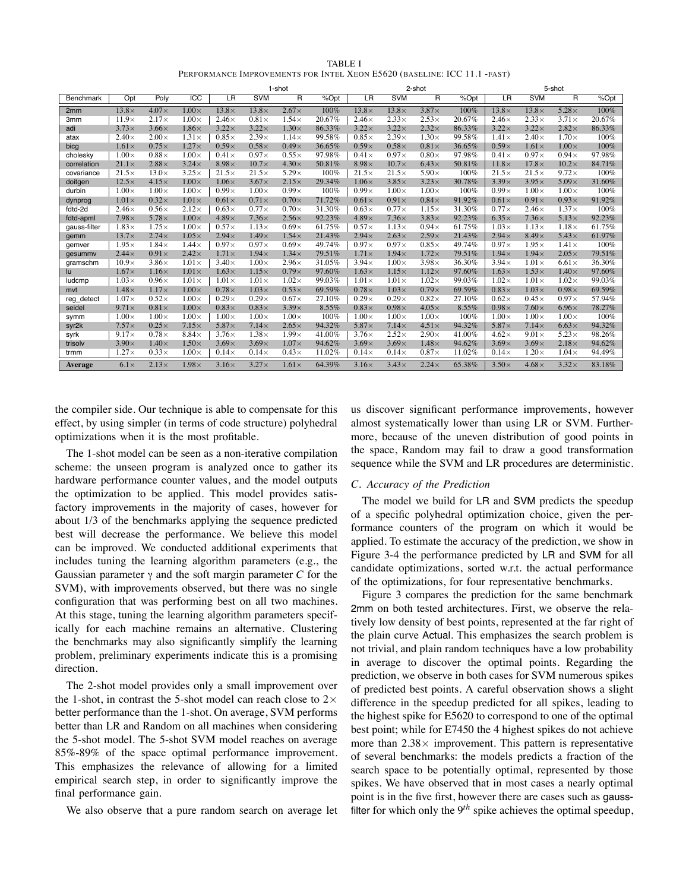| <b>TABLE I</b>                                                           |
|--------------------------------------------------------------------------|
| PERFORMANCE IMPROVEMENTS FOR INTEL XEON E5620 (BASELINE: ICC 11.1 -FAST) |

|                   |              |              |              | 1-shot       |              |              |        | 2-shot       |              |              |        | 5-shot       |              |              |        |
|-------------------|--------------|--------------|--------------|--------------|--------------|--------------|--------|--------------|--------------|--------------|--------|--------------|--------------|--------------|--------|
| <b>Benchmark</b>  | Opt          | Poly         | <b>ICC</b>   | LR           | <b>SVM</b>   | R            | %Opt   | LR           | <b>SVM</b>   | R            | %Opt   | LR           | <b>SVM</b>   | R            | %Opt   |
| 2mm               | $13.8\times$ | $4.07\times$ | $1.00\times$ | $13.8\times$ | $13.8\times$ | $2.67\times$ | 100%   | $13.8\times$ | $13.8\times$ | $3.87\times$ | 100%   | $13.8\times$ | $13.8\times$ | $5.28\times$ | 100%   |
| 3 <sub>mm</sub>   | $11.9\times$ | $2.17\times$ | $1.00\times$ | $2.46\times$ | $0.81\times$ | $1.54\times$ | 20.67% | $2.46\times$ | $2.33\times$ | $2.53\times$ | 20.67% | $2.46\times$ | $2.33\times$ | $3.71\times$ | 20.67% |
| adi               | $3.73\times$ | $3.66\times$ | $1.86\times$ | $3.22\times$ | $3.22\times$ | $1.30\times$ | 86.33% | $3.22\times$ | $3.22\times$ | $2.32\times$ | 86.33% | $3.22\times$ | $3.22\times$ | $2.82\times$ | 86.33% |
| atax              | $2.40\times$ | $2.00\times$ | $1.31\times$ | $0.85\times$ | $2.39\times$ | $1.14\times$ | 99.58% | $0.85\times$ | $2.39\times$ | $1.30\times$ | 99.58% | $1.41\times$ | $2.40\times$ | $1.70\times$ | 100%   |
| bicg              | $1.61\times$ | $0.75\times$ | $1.27\times$ | $0.59\times$ | $0.58\times$ | $0.49\times$ | 36.65% | $0.59\times$ | $0.58\times$ | $0.81\times$ | 36.65% | $0.59\times$ | $1.61\times$ | $1.00\times$ | 100%   |
| cholesky          | $1.00\times$ | $0.88\times$ | $1.00\times$ | $0.41\times$ | $0.97\times$ | $0.55\times$ | 97.98% | $0.41\times$ | $0.97\times$ | $0.80\times$ | 97.98% | $0.41\times$ | $0.97\times$ | $0.94\times$ | 97.98% |
| correlation       | $21.1\times$ | $2.88\times$ | $3.24\times$ | $8.98\times$ | $10.7\times$ | $4.30\times$ | 50.81% | $8.98\times$ | $10.7\times$ | $6.43\times$ | 50.81% | $11.8\times$ | $17.8\times$ | $10.2\times$ | 84.71% |
| covariance        | $21.5\times$ | $13.0\times$ | $3.25\times$ | $21.5\times$ | $21.5\times$ | $5.29\times$ | 100%   | $21.5\times$ | $21.5\times$ | $5.90\times$ | 100%   | $21.5\times$ | $21.5\times$ | $9.72\times$ | 100%   |
| doitgen           | $12.5\times$ | $4.15\times$ | $1.00\times$ | $1.06\times$ | $3.67\times$ | $2.15\times$ | 29.34% | $1.06\times$ | $3.85\times$ | $3.23\times$ | 30.78% | $3.39\times$ | $3.95\times$ | $5.09\times$ | 31.60% |
| durbin            | $1.00\times$ | $1.00\times$ | $1.00\times$ | $0.99\times$ | $1.00\times$ | $0.99\times$ | 100%   | $0.99\times$ | $1.00\times$ | $1.00\times$ | 100%   | $0.99\times$ | $1.00\times$ | $1.00\times$ | 100%   |
| dynprog           | $1.01\times$ | $0.32\times$ | $1.01\times$ | $0.61\times$ | $0.71\times$ | $0.70\times$ | 71.72% | $0.61\times$ | $0.91\times$ | $0.84\times$ | 91.92% | $0.61\times$ | $0.91\times$ | $0.93\times$ | 91.92% |
| fdtd-2d           | $2.46\times$ | $0.56\times$ | $2.12\times$ | $0.63\times$ | $0.77\times$ | $0.70\times$ | 31.30% | $0.63\times$ | $0.77\times$ | $1.15\times$ | 31.30% | $0.77\times$ | $2.46\times$ | $1.37\times$ | 100%   |
| fdtd-apml         | $7.98\times$ | $5.78\times$ | $1.00\times$ | $4.89\times$ | $7.36\times$ | $2.56\times$ | 92.23% | $4.89\times$ | $7.36\times$ | $3.83\times$ | 92.23% | $6.35\times$ | $7.36\times$ | $5.13\times$ | 92.23% |
| qauss-filter      | $1.83\times$ | $1.75\times$ | $1.00\times$ | $0.57\times$ | $1.13\times$ | $0.69\times$ | 61.75% | $0.57\times$ | $1.13\times$ | $0.94\times$ | 61.75% | $1.03\times$ | $1.13\times$ | $1.18\times$ | 61.75% |
| qemm              | $13.7\times$ | $2.74\times$ | $1.05\times$ | $2.94\times$ | $1.49\times$ | $1.54\times$ | 21.43% | $2.94\times$ | $2.63\times$ | $2.59\times$ | 21.43% | $2.94\times$ | $8.49\times$ | $5.43\times$ | 61.97% |
| gemver            | $1.95\times$ | $1.84\times$ | $1.44\times$ | $0.97\times$ | $0.97\times$ | $0.69\times$ | 49.74% | $0.97\times$ | $0.97\times$ | $0.85\times$ | 49.74% | $0.97\times$ | $1.95\times$ | $1.41\times$ | 100%   |
| qesummv           | $2.44\times$ | $0.91\times$ | $2.42\times$ | $1.71\times$ | $1.94\times$ | $1.34\times$ | 79.51% | $1.71\times$ | $1.94\times$ | $1.72\times$ | 79.51% | $1.94\times$ | $1.94\times$ | $2.05\times$ | 79.51% |
| gramschm          | $10.9\times$ | $3.86\times$ | $1.01\times$ | $3.40\times$ | $1.00\times$ | $2.96\times$ | 31.05% | $3.94\times$ | $1.00\times$ | $3.98\times$ | 36.30% | $3.94\times$ | $1.01\times$ | $6.61\times$ | 36.30% |
| lu.               | $1.67\times$ | $1.16\times$ | $1.01\times$ | $1.63\times$ | $1.15\times$ | $0.79\times$ | 97.60% | $1.63\times$ | $1.15\times$ | $1.12\times$ | 97.60% | $1.63\times$ | $1.53\times$ | $1.40\times$ | 97.60% |
| ludcmp            | $1.03\times$ | $0.96\times$ | $1.01\times$ | $1.01\times$ | $1.01\times$ | $1.02\times$ | 99.03% | $1.01\times$ | $1.01\times$ | $1.02\times$ | 99.03% | $1.02\times$ | $1.01\times$ | $1.02\times$ | 99.03% |
| mvt               | $1.48\times$ | $1.17\times$ | $1.00\times$ | $0.78\times$ | $1.03\times$ | $0.53\times$ | 69.59% | $0.78\times$ | $1.03\times$ | $0.79\times$ | 69.59% | $0.83\times$ | $1.03\times$ | $0.98\times$ | 69.59% |
| reg_detect        | $1.07\times$ | $0.52\times$ | $1.00\times$ | $0.29\times$ | $0.29\times$ | $0.67\times$ | 27.10% | $0.29\times$ | $0.29\times$ | $0.82\times$ | 27.10% | $0.62\times$ | $0.45\times$ | $0.97\times$ | 57.94% |
| seidel            | $9.71\times$ | $0.81\times$ | $1.00\times$ | $0.83\times$ | $0.83\times$ | $3.39\times$ | 8.55%  | $0.83\times$ | $0.98\times$ | $4.05\times$ | 8.55%  | $0.98\times$ | $7.60\times$ | $6.96\times$ | 78.27% |
| symm              | $1.00\times$ | $1.00\times$ | $1.00\times$ | $1.00\times$ | $1.00\times$ | $1.00\times$ | 100%   | $1.00\times$ | $1.00\times$ | $1.00\times$ | 100%   | $1.00\times$ | $1.00\times$ | $1.00\times$ | 100%   |
| syr <sub>2k</sub> | $7.57\times$ | $0.25\times$ | $7.15\times$ | $5.87\times$ | $7.14\times$ | $2.65\times$ | 94.32% | $5.87\times$ | $7.14\times$ | $4.51\times$ | 94.32% | $5.87\times$ | $7.14\times$ | $6.63\times$ | 94.32% |
| syrk              | $9.17\times$ | $0.78\times$ | $8.84\times$ | $3.76\times$ | $1.38\times$ | $1.99\times$ | 41.00% | $3.76\times$ | $2.52\times$ | $2.90\times$ | 41.00% | $4.62\times$ | $9.01\times$ | $5.23\times$ | 98.26% |
| trisolv           | $3.90\times$ | $1.40\times$ | $1.50\times$ | $3.69\times$ | $3.69\times$ | $1.07\times$ | 94.62% | $3.69\times$ | $3.69\times$ | $1.48\times$ | 94.62% | $3.69\times$ | $3.69\times$ | $2.18\times$ | 94.62% |
| trmm              | $1.27\times$ | $0.33\times$ | $1.00\times$ | $0.14\times$ | $0.14\times$ | $0.43\times$ | 11.02% | $0.14\times$ | $0.14\times$ | $0.87\times$ | 11.02% | $0.14\times$ | $1.20\times$ | $1.04\times$ | 94.49% |
| <b>Average</b>    | $6.1\times$  | $2.13\times$ | $1.98\times$ | $3.16\times$ | $3.27\times$ | $1.61\times$ | 64.39% | $3.16\times$ | $3.43\times$ | $2.24\times$ | 65.38% | $3.50\times$ | $4.68\times$ | $3.32\times$ | 83.18% |

the compiler side. Our technique is able to compensate for this effect, by using simpler (in terms of code structure) polyhedral optimizations when it is the most profitable.

The 1-shot model can be seen as a non-iterative compilation scheme: the unseen program is analyzed once to gather its hardware performance counter values, and the model outputs the optimization to be applied. This model provides satisfactory improvements in the majority of cases, however for about 1/3 of the benchmarks applying the sequence predicted best will decrease the performance. We believe this model can be improved. We conducted additional experiments that includes tuning the learning algorithm parameters (e.g., the Gaussian parameter γ and the soft margin parameter *C* for the SVM), with improvements observed, but there was no single configuration that was performing best on all two machines. At this stage, tuning the learning algorithm parameters specifically for each machine remains an alternative. Clustering the benchmarks may also significantly simplify the learning problem, preliminary experiments indicate this is a promising direction.

The 2-shot model provides only a small improvement over the 1-shot, in contrast the 5-shot model can reach close to  $2\times$ better performance than the 1-shot. On average, SVM performs better than LR and Random on all machines when considering the 5-shot model. The 5-shot SVM model reaches on average 85%-89% of the space optimal performance improvement. This emphasizes the relevance of allowing for a limited empirical search step, in order to significantly improve the final performance gain.

We also observe that a pure random search on average let

us discover significant performance improvements, however almost systematically lower than using LR or SVM. Furthermore, because of the uneven distribution of good points in the space, Random may fail to draw a good transformation sequence while the SVM and LR procedures are deterministic.

## *C. Accuracy of the Prediction*

The model we build for LR and SVM predicts the speedup of a specific polyhedral optimization choice, given the performance counters of the program on which it would be applied. To estimate the accuracy of the prediction, we show in Figure 3-4 the performance predicted by LR and SVM for all candidate optimizations, sorted w.r.t. the actual performance of the optimizations, for four representative benchmarks.

Figure 3 compares the prediction for the same benchmark 2mm on both tested architectures. First, we observe the relatively low density of best points, represented at the far right of the plain curve Actual. This emphasizes the search problem is not trivial, and plain random techniques have a low probability in average to discover the optimal points. Regarding the prediction, we observe in both cases for SVM numerous spikes of predicted best points. A careful observation shows a slight difference in the speedup predicted for all spikes, leading to the highest spike for E5620 to correspond to one of the optimal best point; while for E7450 the 4 highest spikes do not achieve more than  $2.38 \times$  improvement. This pattern is representative of several benchmarks: the models predicts a fraction of the search space to be potentially optimal, represented by those spikes. We have observed that in most cases a nearly optimal point is in the five first, however there are cases such as gaussfilter for which only the  $9<sup>th</sup>$  spike achieves the optimal speedup,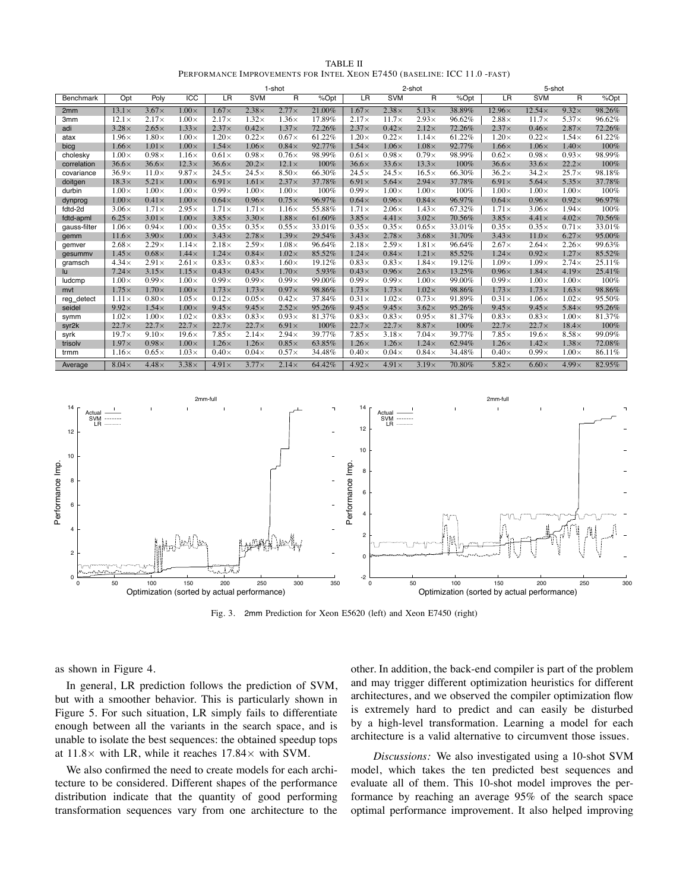| <b>TABLE II</b> |                                                                          |  |  |  |  |  |  |  |  |  |  |
|-----------------|--------------------------------------------------------------------------|--|--|--|--|--|--|--|--|--|--|
|                 | PERFORMANCE IMPROVEMENTS FOR INTEL XEON E7450 (BASELINE: ICC 11.0 -FAST) |  |  |  |  |  |  |  |  |  |  |

|                   |              |              |              | 1-shot       |              |                |        | 2-shot       |              |                |        | 5-shot        |               |              |        |
|-------------------|--------------|--------------|--------------|--------------|--------------|----------------|--------|--------------|--------------|----------------|--------|---------------|---------------|--------------|--------|
| <b>Benchmark</b>  | Opt          | Poly         | ICC          | <b>LR</b>    | <b>SVM</b>   | $\overline{R}$ | %Opt   | <b>LR</b>    | <b>SVM</b>   | $\overline{R}$ | %Opt   | <b>LR</b>     | <b>SVM</b>    | R            | %Opt   |
| 2mm               | $13.1\times$ | $3.67\times$ | $1.00\times$ | $1.67\times$ | $2.38\times$ | $2.77\times$   | 21.00% | $1.67\times$ | $2.38\times$ | $5.13\times$   | 38.89% | $12.96\times$ | $12.54\times$ | $9.32\times$ | 98.26% |
| 3 <sub>mm</sub>   | $12.1\times$ | $2.17\times$ | $1.00\times$ | $2.17\times$ | $1.32\times$ | $1.36\times$   | 17.89% | $2.17\times$ | $11.7\times$ | $2.93\times$   | 96.62% | $2.88\times$  | $11.7\times$  | $5.37\times$ | 96.62% |
| adi               | $3.28\times$ | $2.65\times$ | $1.33\times$ | $2.37\times$ | $0.42\times$ | $1.37\times$   | 72.26% | $2.37\times$ | $0.42\times$ | $2.12\times$   | 72.26% | $2.37\times$  | $0.46\times$  | $2.87\times$ | 72.26% |
| atax              | $1.96\times$ | $1.80\times$ | $1.00\times$ | $1.20\times$ | $0.22\times$ | $0.67\times$   | 61.22% | $1.20\times$ | $0.22\times$ | $1.14\times$   | 61.22% | $1.20\times$  | $0.22\times$  | $1.54\times$ | 61.22% |
| bicg              | $1.66\times$ | $1.01\times$ | $1.00\times$ | $1.54\times$ | $1.06\times$ | $0.84\times$   | 92.77% | $1.54\times$ | $1.06\times$ | $1.08\times$   | 92.77% | $1.66\times$  | $1.06\times$  | $1.40\times$ | 100%   |
| cholesky          | $1.00\times$ | $0.98\times$ | $1.16\times$ | $0.61\times$ | $0.98\times$ | $0.76\times$   | 98.99% | $0.61\times$ | $0.98\times$ | $0.79\times$   | 98.99% | $0.62\times$  | $0.98\times$  | $0.93\times$ | 98.99% |
| correlation       | $36.6\times$ | $36.6\times$ | $12.3\times$ | $36.6\times$ | $20.2\times$ | $12.1\times$   | 100%   | $36.6\times$ | $33.6\times$ | $13.3\times$   | 100%   | $36.6\times$  | $33.6\times$  | $22.2\times$ | 100%   |
| covariance        | $36.9\times$ | $11.0\times$ | $9.87\times$ | $24.5\times$ | $24.5\times$ | $8.50\times$   | 66.30% | $24.5\times$ | $24.5\times$ | $16.5\times$   | 66.30% | $36.2\times$  | $34.2\times$  | $25.7\times$ | 98.18% |
| doitgen           | $18.3\times$ | $5.21\times$ | $1.00\times$ | $6.91\times$ | $1.61\times$ | $2.37\times$   | 37.78% | $6.91\times$ | $5.64\times$ | $2.94\times$   | 37.78% | $6.91\times$  | $5.64\times$  | $5.35\times$ | 37.78% |
| durbin            | $1.00\times$ | $1.00\times$ | $1.00\times$ | $0.99\times$ | $1.00\times$ | $1.00\times$   | 100%   | $0.99\times$ | $1.00\times$ | $1.00\times$   | 100%   | $1.00\times$  | $1.00\times$  | $1.00\times$ | 100%   |
| dynprog           | $1.00\times$ | $0.41\times$ | $1.00\times$ | $0.64\times$ | $0.96\times$ | $0.75\times$   | 96.97% | $0.64\times$ | $0.96\times$ | $0.84\times$   | 96.97% | $0.64\times$  | $0.96\times$  | $0.92\times$ | 96.97% |
| fdtd-2d           | $3.06\times$ | $1.71\times$ | $2.95\times$ | $1.71\times$ | $1.71\times$ | $1.16\times$   | 55.88% | $1.71\times$ | $2.06\times$ | $1.43\times$   | 67.32% | $1.71\times$  | $3.06\times$  | $1.94\times$ | 100%   |
| fdtd-apml         | $6.25\times$ | $3.01\times$ | $1.00\times$ | $3.85\times$ | $3.30\times$ | $1.88\times$   | 61.60% | $3.85\times$ | $4.41\times$ | $3.02\times$   | 70.56% | $3.85\times$  | $4.41\times$  | $4.02\times$ | 70.56% |
| qauss-filter      | $1.06\times$ | $0.94\times$ | $1.00\times$ | $0.35\times$ | $0.35\times$ | $0.55\times$   | 33.01% | $0.35\times$ | $0.35\times$ | $0.65\times$   | 33.01% | $0.35\times$  | $0.35\times$  | $0.71\times$ | 33.01% |
| qemm              | $11.6\times$ | $3.90\times$ | $1.00\times$ | $3.43\times$ | $2.78\times$ | $1.39\times$   | 29.54% | $3.43\times$ | $2.78\times$ | $3.68\times$   | 31.70% | $3.43\times$  | $11.0\times$  | $6.27\times$ | 95.00% |
| qemver            | $2.68\times$ | $2.29\times$ | $1.14\times$ | $2.18\times$ | $2.59\times$ | $1.08\times$   | 96.64% | $2.18\times$ | $2.59\times$ | $1.81\times$   | 96.64% | $2.67\times$  | $2.64\times$  | $2.26\times$ | 99.63% |
| qesummv           | $1.45\times$ | $0.68\times$ | $1.44\times$ | $1.24\times$ | $0.84\times$ | $1.02\times$   | 85.52% | $1.24\times$ | $0.84\times$ | $1.21\times$   | 85.52% | $1.24\times$  | $0.92\times$  | $1.27\times$ | 85.52% |
| gramsch           | $4.34\times$ | $2.91\times$ | $2.61\times$ | $0.83\times$ | $0.83\times$ | $1.60\times$   | 19.12% | $0.83\times$ | $0.83\times$ | $1.84\times$   | 19.12% | $1.09\times$  | $1.09\times$  | $2.74\times$ | 25.11% |
| lu.               | $7.24\times$ | $3.15\times$ | $1.15\times$ | $0.43\times$ | $0.43\times$ | $1.70\times$   | 5.93%  | $0.43\times$ | $0.96\times$ | $2.63\times$   | 13.25% | $0.96\times$  | $1.84\times$  | $4.19\times$ | 25.41% |
| ludcmp            | $1.00\times$ | $0.99\times$ | $1.00\times$ | $0.99\times$ | $0.99\times$ | $0.99\times$   | 99.00% | $0.99\times$ | $0.99\times$ | $1.00\times$   | 99.00% | $0.99\times$  | $1.00\times$  | $1.00\times$ | 100%   |
| mvt               | $1.75\times$ | $1.70\times$ | $1.00\times$ | $1.73\times$ | $1.73\times$ | $0.97\times$   | 98.86% | $1.73\times$ | $1.73\times$ | $1.02\times$   | 98.86% | $1.73\times$  | $1.73\times$  | $1.63\times$ | 98.86% |
| reg_detect        | $1.11\times$ | $0.80\times$ | $1.05\times$ | $0.12\times$ | $0.05\times$ | $0.42\times$   | 37.84% | $0.31\times$ | $1.02\times$ | $0.73\times$   | 91.89% | $0.31\times$  | $1.06\times$  | $1.02\times$ | 95.50% |
| seidel            | $9.92\times$ | $1.54\times$ | $1.00\times$ | $9.45\times$ | $9.45\times$ | $2.52\times$   | 95.26% | $9.45\times$ | $9.45\times$ | $3.62\times$   | 95.26% | $9.45\times$  | $9.45\times$  | $5.84\times$ | 95.26% |
| symm              | $1.02\times$ | $1.00\times$ | $1.02\times$ | $0.83\times$ | $0.83\times$ | $0.93\times$   | 81.37% | $0.83\times$ | $0.83\times$ | $0.95\times$   | 81.37% | $0.83\times$  | $0.83\times$  | $1.00\times$ | 81.37% |
| syr <sub>2k</sub> | $22.7\times$ | $22.7\times$ | $22.7\times$ | $22.7\times$ | $22.7\times$ | $6.91\times$   | 100%   | $22.7\times$ | $22.7\times$ | $8.87\times$   | 100%   | $22.7\times$  | $22.7\times$  | $18.4\times$ | 100%   |
| syrk              | $19.7\times$ | $9.10\times$ | $19.6\times$ | $7.85\times$ | $2.14\times$ | $2.94\times$   | 39.77% | $7.85\times$ | $3.18\times$ | $7.04\times$   | 39.77% | $7.85\times$  | $19.6\times$  | $8.58\times$ | 99.09% |
| trisolv           | $1.97\times$ | $0.98\times$ | $1.00\times$ | $1.26\times$ | $1.26\times$ | $0.85\times$   | 63.85% | $1.26\times$ | $1.26\times$ | $1.24\times$   | 62.94% | $1.26\times$  | $1.42\times$  | $1.38\times$ | 72.08% |
| trmm              | $1.16\times$ | $0.65\times$ | $1.03\times$ | $0.40\times$ | $0.04\times$ | $0.57\times$   | 34.48% | $0.40\times$ | $0.04\times$ | $0.84\times$   | 34.48% | $0.40\times$  | $0.99\times$  | $1.00\times$ | 86.11% |
| Average           | $8.04\times$ | $4.48\times$ | $3.38\times$ | $4.91\times$ | $3.77\times$ | $2.14\times$   | 64.42% | $4.92\times$ | $4.91\times$ | $3.19\times$   | 70.80% | $5.82\times$  | $6.60\times$  | $4.99\times$ | 82.95% |



Fig. 3. 2mm Prediction for Xeon E5620 (left) and Xeon E7450 (right)

as shown in Figure 4.

In general, LR prediction follows the prediction of SVM, but with a smoother behavior. This is particularly shown in Figure 5. For such situation, LR simply fails to differentiate enough between all the variants in the search space, and is unable to isolate the best sequences: the obtained speedup tops at  $11.8\times$  with LR, while it reaches  $17.84\times$  with SVM.

We also confirmed the need to create models for each architecture to be considered. Different shapes of the performance distribution indicate that the quantity of good performing transformation sequences vary from one architecture to the other. In addition, the back-end compiler is part of the problem and may trigger different optimization heuristics for different architectures, and we observed the compiler optimization flow is extremely hard to predict and can easily be disturbed by a high-level transformation. Learning a model for each architecture is a valid alternative to circumvent those issues.

*Discussions:* We also investigated using a 10-shot SVM model, which takes the ten predicted best sequences and evaluate all of them. This 10-shot model improves the performance by reaching an average 95% of the search space optimal performance improvement. It also helped improving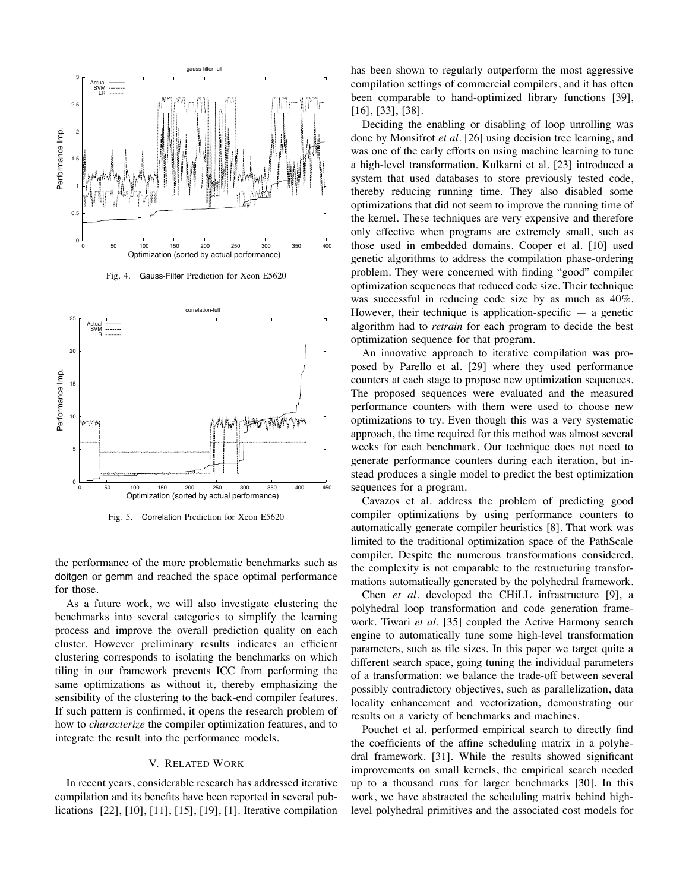

Fig. 4. Gauss-Filter Prediction for Xeon E5620



Fig. 5. Correlation Prediction for Xeon E5620

the performance of the more problematic benchmarks such as doitgen or gemm and reached the space optimal performance for those.

As a future work, we will also investigate clustering the benchmarks into several categories to simplify the learning process and improve the overall prediction quality on each cluster. However preliminary results indicates an efficient clustering corresponds to isolating the benchmarks on which tiling in our framework prevents ICC from performing the same optimizations as without it, thereby emphasizing the sensibility of the clustering to the back-end compiler features. If such pattern is confirmed, it opens the research problem of how to *characterize* the compiler optimization features, and to integrate the result into the performance models.

### V. RELATED WORK

In recent years, considerable research has addressed iterative compilation and its benefits have been reported in several publications [22], [10], [11], [15], [19], [1]. Iterative compilation

has been shown to regularly outperform the most aggressive compilation settings of commercial compilers, and it has often been comparable to hand-optimized library functions [39], [16], [33], [38].

Deciding the enabling or disabling of loop unrolling was done by Monsifrot *et al.* [26] using decision tree learning, and was one of the early efforts on using machine learning to tune a high-level transformation. Kulkarni et al. [23] introduced a system that used databases to store previously tested code, thereby reducing running time. They also disabled some optimizations that did not seem to improve the running time of the kernel. These techniques are very expensive and therefore only effective when programs are extremely small, such as those used in embedded domains. Cooper et al. [10] used genetic algorithms to address the compilation phase-ordering problem. They were concerned with finding "good" compiler optimization sequences that reduced code size. Their technique was successful in reducing code size by as much as 40%. However, their technique is application-specific  $-$  a genetic algorithm had to *retrain* for each program to decide the best optimization sequence for that program.

An innovative approach to iterative compilation was proposed by Parello et al. [29] where they used performance counters at each stage to propose new optimization sequences. The proposed sequences were evaluated and the measured performance counters with them were used to choose new optimizations to try. Even though this was a very systematic approach, the time required for this method was almost several weeks for each benchmark. Our technique does not need to generate performance counters during each iteration, but instead produces a single model to predict the best optimization sequences for a program.

Cavazos et al. address the problem of predicting good compiler optimizations by using performance counters to automatically generate compiler heuristics [8]. That work was limited to the traditional optimization space of the PathScale compiler. Despite the numerous transformations considered, the complexity is not cmparable to the restructuring transformations automatically generated by the polyhedral framework.

Chen *et al.* developed the CHiLL infrastructure [9], a polyhedral loop transformation and code generation framework. Tiwari *et al.* [35] coupled the Active Harmony search engine to automatically tune some high-level transformation parameters, such as tile sizes. In this paper we target quite a different search space, going tuning the individual parameters of a transformation: we balance the trade-off between several possibly contradictory objectives, such as parallelization, data locality enhancement and vectorization, demonstrating our results on a variety of benchmarks and machines.

Pouchet et al. performed empirical search to directly find the coefficients of the affine scheduling matrix in a polyhedral framework. [31]. While the results showed significant improvements on small kernels, the empirical search needed up to a thousand runs for larger benchmarks [30]. In this work, we have abstracted the scheduling matrix behind highlevel polyhedral primitives and the associated cost models for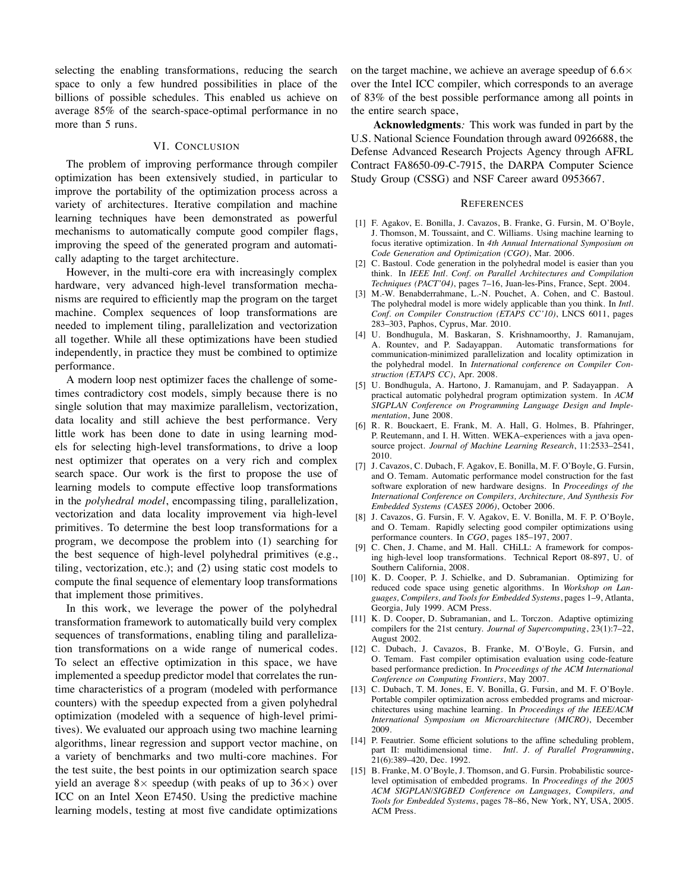selecting the enabling transformations, reducing the search space to only a few hundred possibilities in place of the billions of possible schedules. This enabled us achieve on average 85% of the search-space-optimal performance in no more than 5 runs.

## VI. CONCLUSION

The problem of improving performance through compiler optimization has been extensively studied, in particular to improve the portability of the optimization process across a variety of architectures. Iterative compilation and machine learning techniques have been demonstrated as powerful mechanisms to automatically compute good compiler flags, improving the speed of the generated program and automatically adapting to the target architecture.

However, in the multi-core era with increasingly complex hardware, very advanced high-level transformation mechanisms are required to efficiently map the program on the target machine. Complex sequences of loop transformations are needed to implement tiling, parallelization and vectorization all together. While all these optimizations have been studied independently, in practice they must be combined to optimize performance.

A modern loop nest optimizer faces the challenge of sometimes contradictory cost models, simply because there is no single solution that may maximize parallelism, vectorization, data locality and still achieve the best performance. Very little work has been done to date in using learning models for selecting high-level transformations, to drive a loop nest optimizer that operates on a very rich and complex search space. Our work is the first to propose the use of learning models to compute effective loop transformations in the *polyhedral model*, encompassing tiling, parallelization, vectorization and data locality improvement via high-level primitives. To determine the best loop transformations for a program, we decompose the problem into (1) searching for the best sequence of high-level polyhedral primitives (e.g., tiling, vectorization, etc.); and (2) using static cost models to compute the final sequence of elementary loop transformations that implement those primitives.

In this work, we leverage the power of the polyhedral transformation framework to automatically build very complex sequences of transformations, enabling tiling and parallelization transformations on a wide range of numerical codes. To select an effective optimization in this space, we have implemented a speedup predictor model that correlates the runtime characteristics of a program (modeled with performance counters) with the speedup expected from a given polyhedral optimization (modeled with a sequence of high-level primitives). We evaluated our approach using two machine learning algorithms, linear regression and support vector machine, on a variety of benchmarks and two multi-core machines. For the test suite, the best points in our optimization search space yield an average  $8\times$  speedup (with peaks of up to  $36\times$ ) over ICC on an Intel Xeon E7450. Using the predictive machine learning models, testing at most five candidate optimizations on the target machine, we achieve an average speedup of  $6.6\times$ over the Intel ICC compiler, which corresponds to an average of 83% of the best possible performance among all points in the entire search space,

**Acknowledgments***:* This work was funded in part by the U.S. National Science Foundation through award 0926688, the Defense Advanced Research Projects Agency through AFRL Contract FA8650-09-C-7915, the DARPA Computer Science Study Group (CSSG) and NSF Career award 0953667.

#### **REFERENCES**

- [1] F. Agakov, E. Bonilla, J. Cavazos, B. Franke, G. Fursin, M. O'Boyle, J. Thomson, M. Toussaint, and C. Williams. Using machine learning to focus iterative optimization. In *4th Annual International Symposium on Code Generation and Optimization (CGO)*, Mar. 2006.
- [2] C. Bastoul. Code generation in the polyhedral model is easier than you think. In *IEEE Intl. Conf. on Parallel Architectures and Compilation Techniques (PACT'04)*, pages 7–16, Juan-les-Pins, France, Sept. 2004.
- [3] M.-W. Benabderrahmane, L.-N. Pouchet, A. Cohen, and C. Bastoul. The polyhedral model is more widely applicable than you think. In *Intl. Conf. on Compiler Construction (ETAPS CC'10)*, LNCS 6011, pages 283–303, Paphos, Cyprus, Mar. 2010.
- [4] U. Bondhugula, M. Baskaran, S. Krishnamoorthy, J. Ramanujam, A. Rountev, and P. Sadayappan. Automatic transformations for communication-minimized parallelization and locality optimization in the polyhedral model. In *International conference on Compiler Construction (ETAPS CC)*, Apr. 2008.
- [5] U. Bondhugula, A. Hartono, J. Ramanujam, and P. Sadayappan. A practical automatic polyhedral program optimization system. In *ACM SIGPLAN Conference on Programming Language Design and Implementation*, June 2008.
- [6] R. R. Bouckaert, E. Frank, M. A. Hall, G. Holmes, B. Pfahringer, P. Reutemann, and I. H. Witten. WEKA–experiences with a java opensource project. *Journal of Machine Learning Research*, 11:2533–2541, 2010.
- [7] J. Cavazos, C. Dubach, F. Agakov, E. Bonilla, M. F. O'Boyle, G. Fursin, and O. Temam. Automatic performance model construction for the fast software exploration of new hardware designs. In *Proceedings of the International Conference on Compilers, Architecture, And Synthesis For Embedded Systems (CASES 2006)*, October 2006.
- [8] J. Cavazos, G. Fursin, F. V. Agakov, E. V. Bonilla, M. F. P. O'Boyle, and O. Temam. Rapidly selecting good compiler optimizations using performance counters. In *CGO*, pages 185–197, 2007.
- [9] C. Chen, J. Chame, and M. Hall. CHiLL: A framework for composing high-level loop transformations. Technical Report 08-897, U. of Southern California, 2008.
- [10] K. D. Cooper, P. J. Schielke, and D. Subramanian. Optimizing for reduced code space using genetic algorithms. In *Workshop on Languages, Compilers, and Tools for Embedded Systems*, pages 1–9, Atlanta, Georgia, July 1999. ACM Press.
- [11] K. D. Cooper, D. Subramanian, and L. Torczon. Adaptive optimizing compilers for the 21st century. *Journal of Supercomputing*, 23(1):7–22, August 2002.
- [12] C. Dubach, J. Cavazos, B. Franke, M. O'Boyle, G. Fursin, and O. Temam. Fast compiler optimisation evaluation using code-feature based performance prediction. In *Proceedings of the ACM International Conference on Computing Frontiers*, May 2007.
- [13] C. Dubach, T. M. Jones, E. V. Bonilla, G. Fursin, and M. F. O'Boyle. Portable compiler optimization across embedded programs and microarchitectures using machine learning. In *Proceedings of the IEEE/ACM International Symposium on Microarchitecture (MICRO)*, December 2009.
- [14] P. Feautrier. Some efficient solutions to the affine scheduling problem, part II: multidimensional time. *Intl. J. of Parallel Programming*, 21(6):389–420, Dec. 1992.
- [15] B. Franke, M. O'Boyle, J. Thomson, and G. Fursin. Probabilistic sourcelevel optimisation of embedded programs. In *Proceedings of the 2005 ACM SIGPLAN/SIGBED Conference on Languages, Compilers, and Tools for Embedded Systems*, pages 78–86, New York, NY, USA, 2005. ACM Press.